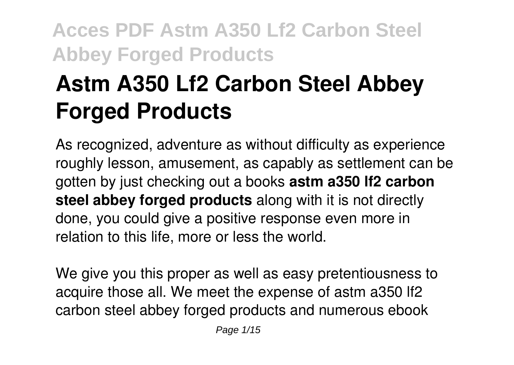# **Astm A350 Lf2 Carbon Steel Abbey Forged Products**

As recognized, adventure as without difficulty as experience roughly lesson, amusement, as capably as settlement can be gotten by just checking out a books **astm a350 lf2 carbon steel abbey forged products** along with it is not directly done, you could give a positive response even more in relation to this life, more or less the world.

We give you this proper as well as easy pretentiousness to acquire those all. We meet the expense of astm a350 lf2 carbon steel abbey forged products and numerous ebook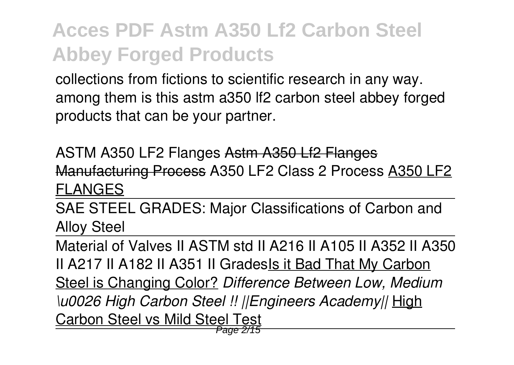collections from fictions to scientific research in any way. among them is this astm a350 lf2 carbon steel abbey forged products that can be your partner.

ASTM A350 LF2 Flanges Astm A350 Lf2 Flanges Manufacturing Process A350 LF2 Class 2 Process A350 LF2 FLANGES

SAE STEEL GRADES: Major Classifications of Carbon and Alloy Steel

Material of Valves II ASTM std II A216 II A105 II A352 II A350 II A217 II A182 II A351 II GradesIs it Bad That My Carbon Steel is Changing Color? *Difference Between Low, Medium \u0026 High Carbon Steel !! ||Engineers Academy||* High Carbon Steel vs Mild Steel Test Page 2/15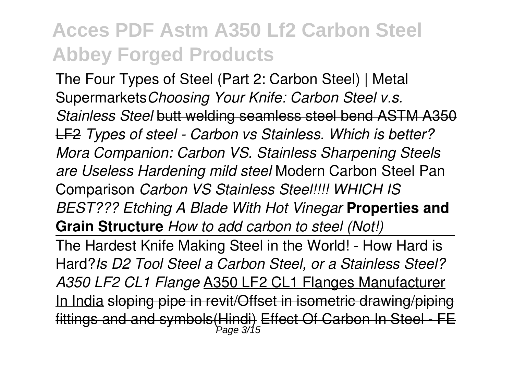The Four Types of Steel (Part 2: Carbon Steel) | Metal Supermarkets*Choosing Your Knife: Carbon Steel v.s. Stainless Steel* butt welding seamless steel bend ASTM A350 LF2 *Types of steel - Carbon vs Stainless. Which is better? Mora Companion: Carbon VS. Stainless Sharpening Steels are Useless Hardening mild steel* Modern Carbon Steel Pan Comparison *Carbon VS Stainless Steel!!!! WHICH IS BEST??? Etching A Blade With Hot Vinegar* **Properties and Grain Structure** *How to add carbon to steel (Not!)*

The Hardest Knife Making Steel in the World! - How Hard is Hard?*Is D2 Tool Steel a Carbon Steel, or a Stainless Steel? A350 LF2 CL1 Flange* A350 LF2 CL1 Flanges Manufacturer In India sloping pipe in revit/Offset in isometric drawing/piping fittings and and symbols(Hindi) Effect Of Carbon In Steel - FE Page 3/15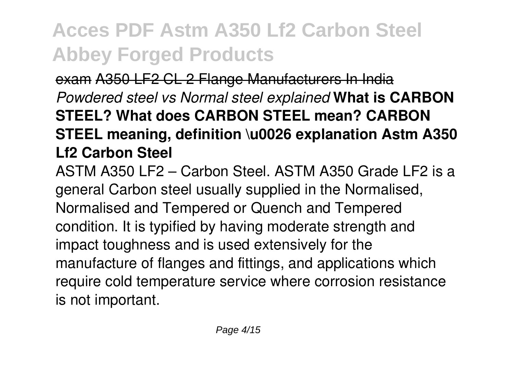exam A350 LF2 CL 2 Flange Manufacturers In India *Powdered steel vs Normal steel explained* **What is CARBON STEEL? What does CARBON STEEL mean? CARBON STEEL meaning, definition \u0026 explanation Astm A350 Lf2 Carbon Steel**

ASTM A350 LF2 – Carbon Steel. ASTM A350 Grade LF2 is a general Carbon steel usually supplied in the Normalised, Normalised and Tempered or Quench and Tempered condition. It is typified by having moderate strength and impact toughness and is used extensively for the manufacture of flanges and fittings, and applications which require cold temperature service where corrosion resistance is not important.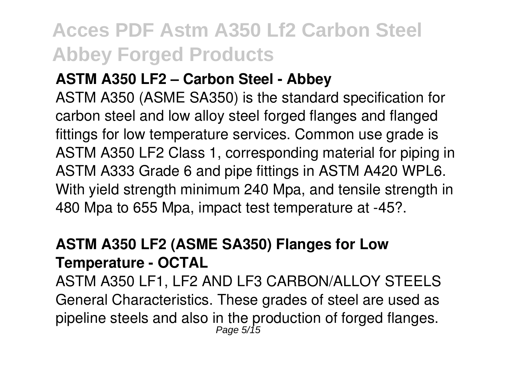#### **ASTM A350 LF2 – Carbon Steel - Abbey**

ASTM A350 (ASME SA350) is the standard specification for carbon steel and low alloy steel forged flanges and flanged fittings for low temperature services. Common use grade is ASTM A350 LF2 Class 1, corresponding material for piping in ASTM A333 Grade 6 and pipe fittings in ASTM A420 WPL6. With yield strength minimum 240 Mpa, and tensile strength in 480 Mpa to 655 Mpa, impact test temperature at -45?.

#### **ASTM A350 LF2 (ASME SA350) Flanges for Low Temperature - OCTAL**

ASTM A350 LF1, LF2 AND LF3 CARBON/ALLOY STEELS General Characteristics. These grades of steel are used as pipeline steels and also in the production of forged flanges.<br> $P_{\text{age 5/15}}$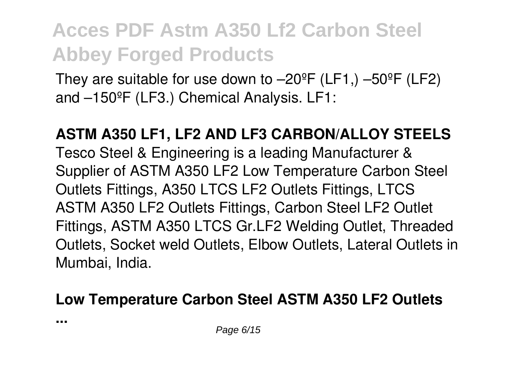They are suitable for use down to  $-20^\circ$ F (LF1,)  $-50^\circ$ F (LF2) and –150ºF (LF3.) Chemical Analysis. LF1:

**ASTM A350 LF1, LF2 AND LF3 CARBON/ALLOY STEELS** Tesco Steel & Engineering is a leading Manufacturer & Supplier of ASTM A350 LF2 Low Temperature Carbon Steel Outlets Fittings, A350 LTCS LF2 Outlets Fittings, LTCS ASTM A350 LF2 Outlets Fittings, Carbon Steel LF2 Outlet Fittings, ASTM A350 LTCS Gr.LF2 Welding Outlet, Threaded Outlets, Socket weld Outlets, Elbow Outlets, Lateral Outlets in Mumbai, India.

#### **Low Temperature Carbon Steel ASTM A350 LF2 Outlets**

**...**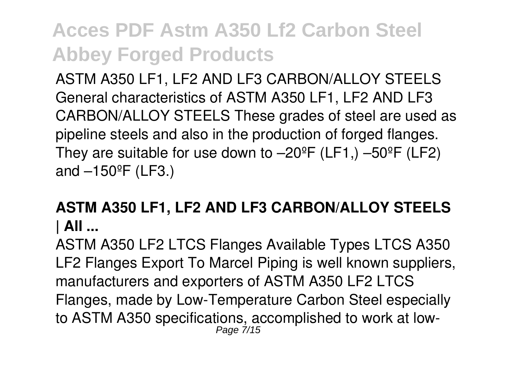ASTM A350 LF1, LF2 AND LF3 CARBON/ALLOY STEELS General characteristics of ASTM A350 LF1, LF2 AND LF3 CARBON/ALLOY STEELS These grades of steel are used as pipeline steels and also in the production of forged flanges. They are suitable for use down to  $-20^{\circ}$ F (LF1,)  $-50^{\circ}$ F (LF2) and  $-150^{\circ}$ F (LF3.)

#### **ASTM A350 LF1, LF2 AND LF3 CARBON/ALLOY STEELS | All ...**

ASTM A350 LF2 LTCS Flanges Available Types LTCS A350 LF2 Flanges Export To Marcel Piping is well known suppliers, manufacturers and exporters of ASTM A350 LF2 LTCS Flanges, made by Low-Temperature Carbon Steel especially to ASTM A350 specifications, accomplished to work at low-Page 7/15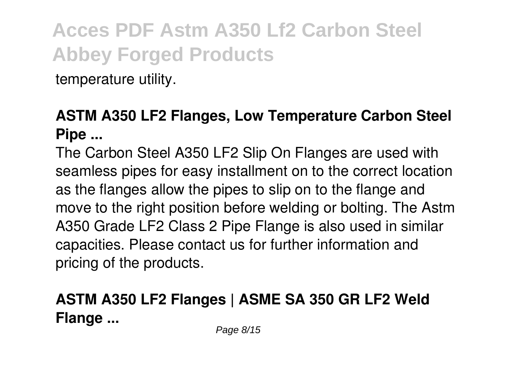temperature utility.

#### **ASTM A350 LF2 Flanges, Low Temperature Carbon Steel Pipe ...**

The Carbon Steel A350 LF2 Slip On Flanges are used with seamless pipes for easy installment on to the correct location as the flanges allow the pipes to slip on to the flange and move to the right position before welding or bolting. The Astm A350 Grade LF2 Class 2 Pipe Flange is also used in similar capacities. Please contact us for further information and pricing of the products.

#### **ASTM A350 LF2 Flanges | ASME SA 350 GR LF2 Weld Flange ...**

Page 8/15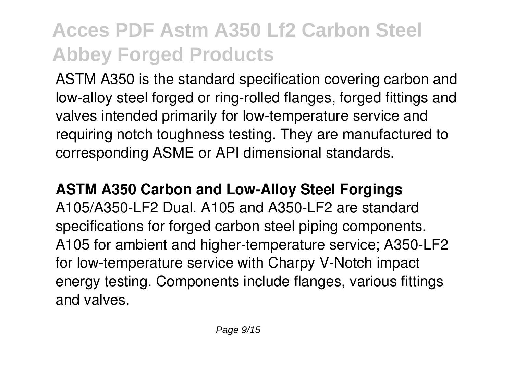ASTM A350 is the standard specification covering carbon and low-alloy steel forged or ring-rolled flanges, forged fittings and valves intended primarily for low-temperature service and requiring notch toughness testing. They are manufactured to corresponding ASME or API dimensional standards.

**ASTM A350 Carbon and Low-Alloy Steel Forgings** A105/A350-LF2 Dual. A105 and A350-LF2 are standard specifications for forged carbon steel piping components. A105 for ambient and higher-temperature service; A350-LF2 for low-temperature service with Charpy V-Notch impact energy testing. Components include flanges, various fittings and valves.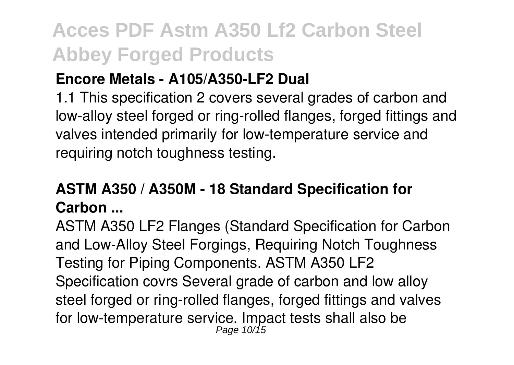#### **Encore Metals - A105/A350-LF2 Dual**

1.1 This specification 2 covers several grades of carbon and low-alloy steel forged or ring-rolled flanges, forged fittings and valves intended primarily for low-temperature service and requiring notch toughness testing.

#### **ASTM A350 / A350M - 18 Standard Specification for Carbon ...**

ASTM A350 LF2 Flanges (Standard Specification for Carbon and Low-Alloy Steel Forgings, Requiring Notch Toughness Testing for Piping Components. ASTM A350 LF2 Specification covrs Several grade of carbon and low alloy steel forged or ring-rolled flanges, forged fittings and valves for low-temperature service. Impact tests shall also be<br>Page 10/15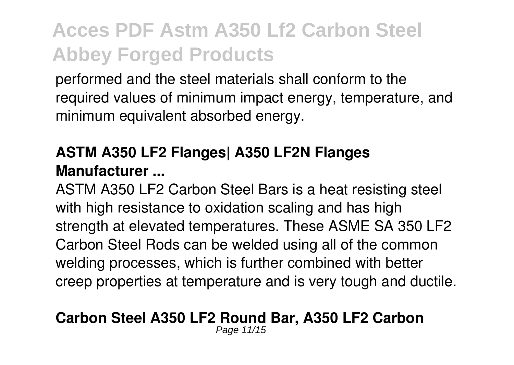performed and the steel materials shall conform to the required values of minimum impact energy, temperature, and minimum equivalent absorbed energy.

#### **ASTM A350 LF2 Flanges| A350 LF2N Flanges Manufacturer ...**

ASTM A350 LF2 Carbon Steel Bars is a heat resisting steel with high resistance to oxidation scaling and has high strength at elevated temperatures. These ASME SA 350 LF2 Carbon Steel Rods can be welded using all of the common welding processes, which is further combined with better creep properties at temperature and is very tough and ductile.

#### **Carbon Steel A350 LF2 Round Bar, A350 LF2 Carbon**

Page 11/15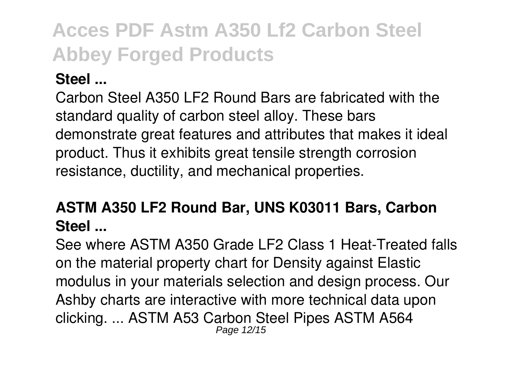#### **Steel ...**

Carbon Steel A350 LF2 Round Bars are fabricated with the standard quality of carbon steel alloy. These bars demonstrate great features and attributes that makes it ideal product. Thus it exhibits great tensile strength corrosion resistance, ductility, and mechanical properties.

#### **ASTM A350 LF2 Round Bar, UNS K03011 Bars, Carbon Steel ...**

See where ASTM A350 Grade LF2 Class 1 Heat-Treated falls on the material property chart for Density against Elastic modulus in your materials selection and design process. Our Ashby charts are interactive with more technical data upon clicking. ... ASTM A53 Carbon Steel Pipes ASTM A564 Page 12/15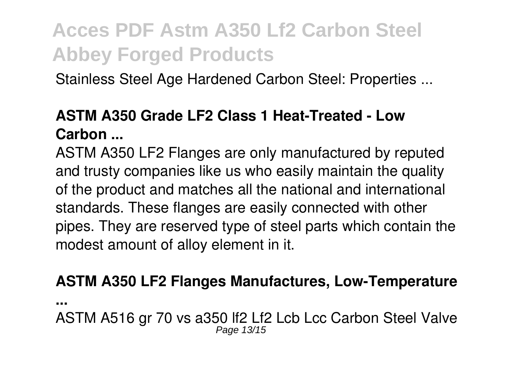Stainless Steel Age Hardened Carbon Steel: Properties ...

#### **ASTM A350 Grade LF2 Class 1 Heat-Treated - Low Carbon ...**

ASTM A350 LF2 Flanges are only manufactured by reputed and trusty companies like us who easily maintain the quality of the product and matches all the national and international standards. These flanges are easily connected with other pipes. They are reserved type of steel parts which contain the modest amount of alloy element in it.

#### **ASTM A350 LF2 Flanges Manufactures, Low-Temperature**

**...**

ASTM A516 gr 70 vs a350 lf2 Lf2 Lcb Lcc Carbon Steel Valve Page 13/15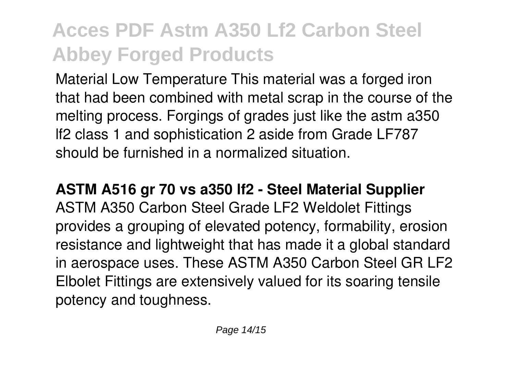Material Low Temperature This material was a forged iron that had been combined with metal scrap in the course of the melting process. Forgings of grades just like the astm a350 lf2 class 1 and sophistication 2 aside from Grade LF787 should be furnished in a normalized situation.

**ASTM A516 gr 70 vs a350 lf2 - Steel Material Supplier** ASTM A350 Carbon Steel Grade LF2 Weldolet Fittings provides a grouping of elevated potency, formability, erosion resistance and lightweight that has made it a global standard in aerospace uses. These ASTM A350 Carbon Steel GR LF2 Elbolet Fittings are extensively valued for its soaring tensile potency and toughness.